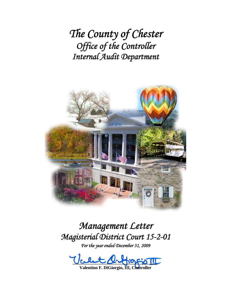*The County of Chester Office of the Controller Internal Audit Department*



# *Management Letter Magisterial District Court 15-2-01*

*For the year ended December 31, 2009* 

 $\text{Vert}\mathcal{Q}\text{-}\text{div}\mathbb{Z}$ 

**Valentino F. DiGiorgio, III, Controller**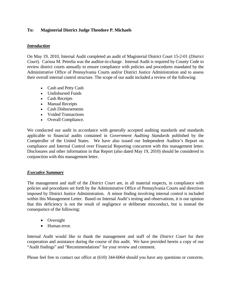## **To: Magisterial District Judge Theodore P. Michaels**

## *Introduction*

On May 19, 2010, Internal Audit completed an audit of Magisterial District Court 15-2-01 (*District Court*). Carissa M. Petrelia was the auditor-in-charge. Internal Audit is required by County Code to review district courts annually to ensure compliance with policies and procedures mandated by the Administrative Office of Pennsylvania Courts and/or District Justice Administration and to assess their overall internal control structure. The scope of our audit included a review of the following:

- Cash and Petty Cash
- Undisbursed Funds
- Cash Receipts
- Manual Receipts
- Cash Disbursements
- Voided Transactions
- Overall Compliance.

We conducted our audit in accordance with generally accepted auditing standards and standards applicable to financial audits contained in *Government Auditing Standards* published by the Comptroller of the United States. We have also issued our Independent Auditor's Report on compliance and Internal Control over Financial Reporting concurrent with this management letter. Disclosures and other information in that Report (also dated May 19, 2010) should be considered in conjunction with this management letter.

## *Executive Summary*

The management and staff of the *District Court* are, in all material respects, in compliance with policies and procedures set forth by the Administrative Office of Pennsylvania Courts and directives imposed by District Justice Administration. A minor finding involving internal control is included within this Management Letter. Based on Internal Audit's testing and observations, it is our opinion that this deficiency is not the result of negligence or deliberate misconduct, but is instead the consequence of the following:

- Oversight
- Human error.

Internal Audit would like to thank the management and staff of the *District Court* for their cooperation and assistance during the course of this audit. We have provided herein a copy of our "Audit findings" and "Recommendations" for your review and comment.

Please feel free to contact our office at (610) 344-6064 should you have any questions or concerns.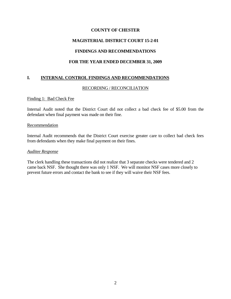## **COUNTY OF CHESTER**

## **MAGISTERIAL DISTRICT COURT 15-2-01**

## **FINDINGS AND RECOMMENDATIONS**

## **FOR THE YEAR ENDED DECEMBER 31, 2009**

## **I. INTERNAL CONTROL FINDINGS AND RECOMMENDATIONS**

#### RECORDING / RECONCILIATION

#### Finding 1: Bad Check Fee

Internal Audit noted that the District Court did not collect a bad check fee of \$5.00 from the defendant when final payment was made on their fine.

#### Recommendation

Internal Audit recommends that the District Court exercise greater care to collect bad check fees from defendants when they make final payment on their fines.

#### *Auditee Response*

The clerk handling these transactions did not realize that 3 separate checks were tendered and 2 came back NSF. She thought there was only 1 NSF. We will monitor NSF cases more closely to prevent future errors and contact the bank to see if they will waive their NSF fees.